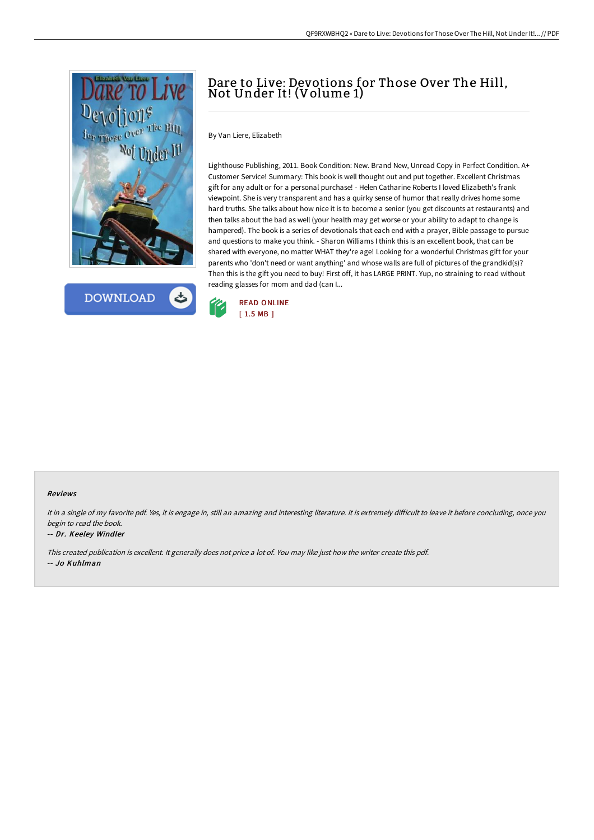

**DOWNLOAD** 

## Dare to Live: Devotions for Those Over The Hill, Not Under It! (Volume 1)

By Van Liere, Elizabeth

Lighthouse Publishing, 2011. Book Condition: New. Brand New, Unread Copy in Perfect Condition. A+ Customer Service! Summary: This book is well thought out and put together. Excellent Christmas gift for any adult or for a personal purchase! - Helen Catharine Roberts I loved Elizabeth's frank viewpoint. She is very transparent and has a quirky sense of humor that really drives home some hard truths. She talks about how nice it is to become a senior (you get discounts at restaurants) and then talks about the bad as well (your health may get worse or your ability to adapt to change is hampered). The book is a series of devotionals that each end with a prayer, Bible passage to pursue and questions to make you think. - Sharon Williams I think this is an excellent book, that can be shared with everyone, no matter WHAT they're age! Looking for a wonderful Christmas gift for your parents who 'don't need or want anything' and whose walls are full of pictures of the grandkid(s)? Then this is the gift you need to buy! First off, it has LARGE PRINT. Yup, no straining to read without reading glasses for mom and dad (can I...



## Reviews

It in a single of my favorite pdf. Yes, it is engage in, still an amazing and interesting literature. It is extremely difficult to leave it before concluding, once you begin to read the book.

## -- Dr. Keeley Windler

This created publication is excellent. It generally does not price <sup>a</sup> lot of. You may like just how the writer create this pdf. -- Jo Kuhlman